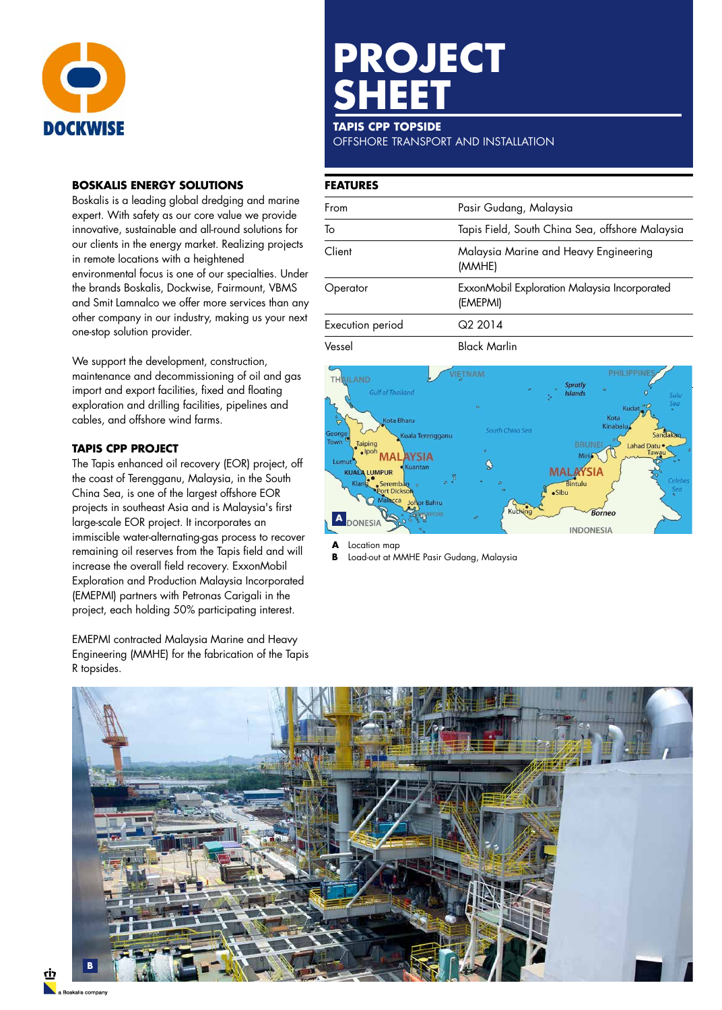

#### **BOSKALIS ENERGY SOLUTIONS**

Boskalis is a leading global dredging and marine expert. With safety as our core value we provide innovative, sustainable and all-round solutions for our clients in the energy market. Realizing projects in remote locations with a heightened environmental focus is one of our specialties. Under the brands Boskalis, Dockwise, Fairmount, VBMS and Smit Lamnalco we offer more services than any other company in our industry, making us your next one-stop solution provider.

We support the development, construction, maintenance and decommissioning of oil and gas import and export facilities, fixed and floating exploration and drilling facilities, pipelines and cables, and offshore wind farms.

### **TAPIS CPP PROJECT**

The Tapis enhanced oil recovery (EOR) project, off the coast of Terengganu, Malaysia, in the South China Sea, is one of the largest offshore EOR projects in southeast Asia and is Malaysia's first large-scale EOR project. It incorporates an immiscible water-alternating-gas process to recover remaining oil reserves from the Tapis field and will increase the overall field recovery. ExxonMobil Exploration and Production Malaysia Incorporated (EMEPMI) partners with Petronas Carigali in the project, each holding 50% participating interest.

EMEPMI contracted Malaysia Marine and Heavy Engineering (MMHE) for the fabrication of the Tapis R topsides.

# **PROJECT SHEET**

#### **TAPIS CPP TOPSIDE**

OFFSHORE TRANSPORT AND INSTALLATION

#### **FEATURES**

| From             | Pasir Gudang, Malaysia                                   |
|------------------|----------------------------------------------------------|
| To               | Tapis Field, South China Sea, offshore Malaysia          |
| Client           | Malaysia Marine and Heavy Engineering<br>(MMHE)          |
| Operator         | ExxonMobil Exploration Malaysia Incorporated<br>(EMEPMI) |
| Execution period | Q <sub>2</sub> 2014                                      |
| Vessel           | <b>Black Marlin</b>                                      |



**A** Location map<br>**B** Load-out at M

**B** Load-out at MMHE Pasir Gudang, Malaysia



<u>לו</u>